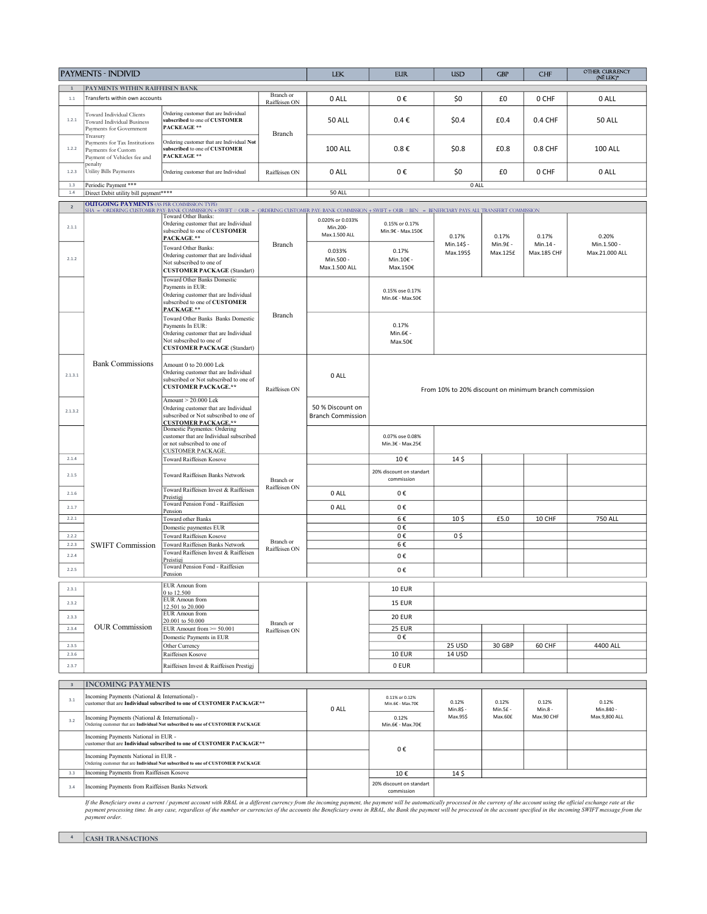|                         | <b>PAYMENTS - INDIVID</b>                                                                                                                                                                                                                        |                                                                                                                                                                                                                                                                                                                                                                                                                                                                 |                            | <b>LEK</b>                                   | <b>EUR</b>                             | <b>USD</b>            | <b>GBP</b>                                            | <b>CHF</b>            | <b>OTHER CURRENCY</b><br>(NË LEK)* |  |  |
|-------------------------|--------------------------------------------------------------------------------------------------------------------------------------------------------------------------------------------------------------------------------------------------|-----------------------------------------------------------------------------------------------------------------------------------------------------------------------------------------------------------------------------------------------------------------------------------------------------------------------------------------------------------------------------------------------------------------------------------------------------------------|----------------------------|----------------------------------------------|----------------------------------------|-----------------------|-------------------------------------------------------|-----------------------|------------------------------------|--|--|
|                         | <b>PAYMENTS WITHIN RAIFFEISEN BANK</b>                                                                                                                                                                                                           |                                                                                                                                                                                                                                                                                                                                                                                                                                                                 |                            |                                              |                                        |                       |                                                       |                       |                                    |  |  |
| 1.1                     | Transferts within own accounts                                                                                                                                                                                                                   |                                                                                                                                                                                                                                                                                                                                                                                                                                                                 | Branch or<br>Raiffeisen ON | 0 ALL                                        | 0€                                     | \$0                   | £0                                                    | 0 CHF                 | 0 ALL                              |  |  |
| 1.2.1                   | Toward Individual Clients<br>Toward Individual Business<br>Payments for Government                                                                                                                                                               | Ordering customer that are Individual<br>subscribed to one of CUSTOMER<br><b>PACKEAGE **</b>                                                                                                                                                                                                                                                                                                                                                                    | Branch                     | <b>50 ALL</b>                                | $0.4 \epsilon$                         | \$0.4                 | £0.4                                                  | 0.4 CHF               | <b>50 ALL</b>                      |  |  |
| 1.2.2                   | Treasury<br>Payments for Tax Institutions<br>Payments for Custom<br>Payment of Vehicles fee and                                                                                                                                                  | Ordering customer that are Individual Not<br>subscribed to one of CUSTOMER<br><b>PACKEAGE **</b>                                                                                                                                                                                                                                                                                                                                                                |                            | <b>100 ALL</b>                               | $0.8 \in$                              | \$0.8\$               | £0.8                                                  | 0.8 CHF               | <b>100 ALL</b>                     |  |  |
| 1.2.3                   | penalty<br>Utility Bills Payments                                                                                                                                                                                                                | Ordering customer that are Individual                                                                                                                                                                                                                                                                                                                                                                                                                           | Raiffeisen ON              | 0 ALL                                        | 0€                                     | \$0                   | £0                                                    | 0 CHF                 | 0 ALL                              |  |  |
| 1.3<br>$1.4\,$          | Periodic Payment ***<br>Direct Debit utility bill payment****                                                                                                                                                                                    |                                                                                                                                                                                                                                                                                                                                                                                                                                                                 |                            | <b>50 ALL</b>                                |                                        |                       | 0 ALL                                                 |                       |                                    |  |  |
| $\overline{2}$          | <b>OUTGOING PAYMENTS (AS PER COMMISSION TYPE)</b>                                                                                                                                                                                                |                                                                                                                                                                                                                                                                                                                                                                                                                                                                 |                            |                                              |                                        |                       |                                                       |                       |                                    |  |  |
|                         |                                                                                                                                                                                                                                                  | SHA = ORDERING CUSTOMER PAY: BANK COMMISSION + SWIFT // OUR = ORDERING CUSTOMER PAY: BANK COMMISSION + SWIFT + OUR // BEN = BENEFICIARY PAYS ALL TRANSFERT COMMISSION<br>Toward Other Banks:                                                                                                                                                                                                                                                                    |                            | 0.020% or 0.033%                             |                                        |                       |                                                       |                       |                                    |  |  |
| 2.1.1                   |                                                                                                                                                                                                                                                  | Ordering customer that are Individual<br>subscribed to one of CUSTOMER<br>PACKAGE.**                                                                                                                                                                                                                                                                                                                                                                            | Branch                     | Min.200-<br>Max.1.500 ALL                    | 0.15% or 0.17%<br>Min.9€ - Max.150€    | 0.17%<br>Min.14\$ -   | 0.17%                                                 | 0.17%<br>Min.14 -     | 0.20%                              |  |  |
| 2.1.2                   |                                                                                                                                                                                                                                                  | Toward Other Banks:<br>Ordering customer that are Individual<br>Not subscribed to one of<br><b>CUSTOMER PACKAGE (Standart)</b>                                                                                                                                                                                                                                                                                                                                  |                            | 0.033%<br>Min.500 -<br>Max.1.500 ALL         | 0.17%<br>Min.10€ -<br>Max.150€         | Max.195\$             | Min.9£ -<br>Max.125£                                  | Max.185 CHF           | Min.1.500 -<br>Max.21.000 ALL      |  |  |
|                         |                                                                                                                                                                                                                                                  | Toward Other Banks Domestic<br>Payments in EUR:<br>Ordering customer that are Individual<br>subscribed to one of CUSTOMER<br>PACKAGE.**                                                                                                                                                                                                                                                                                                                         |                            |                                              | 0.15% ose 0.17%<br>Min.6€ - Max.50€    |                       |                                                       |                       |                                    |  |  |
|                         |                                                                                                                                                                                                                                                  | Toward Other Banks Banks Domestic<br>Payments In EUR:<br>Ordering customer that are Individual<br>Not subscribed to one of<br><b>CUSTOMER PACKAGE (Standart)</b>                                                                                                                                                                                                                                                                                                | Branch                     |                                              | 0.17%<br>Min.6€ -<br>Max.50€           |                       |                                                       |                       |                                    |  |  |
| 2.1.3.1                 | <b>Bank Commissions</b>                                                                                                                                                                                                                          | Amount 0 to 20.000 Lek<br>Ordering customer that are Individual<br>subscribed or Not subscribed to one of<br><b>CUSTOMER PACKAGE.**</b>                                                                                                                                                                                                                                                                                                                         |                            | 0 ALL                                        |                                        |                       | From 10% to 20% discount on minimum branch commission |                       |                                    |  |  |
| 2.1.3.2                 |                                                                                                                                                                                                                                                  | Amount $> 20.000$ Lek<br>Ordering customer that are Individual<br>subscribed or Not subscribed to one of<br><b>CUSTOMER PACKAGE.**</b>                                                                                                                                                                                                                                                                                                                          |                            | 50 % Discount on<br><b>Branch Commission</b> |                                        |                       |                                                       |                       |                                    |  |  |
|                         |                                                                                                                                                                                                                                                  | Domestic Paymentes: Ordering<br>customer that are Individual subscribed<br>or not subscribed to one of<br><b>CUSTOMER PACKAGE.</b>                                                                                                                                                                                                                                                                                                                              |                            |                                              | 0.07% ose 0.08%<br>Min.3€ - Max.25€    |                       |                                                       |                       |                                    |  |  |
| 2.1.4                   |                                                                                                                                                                                                                                                  | Toward Raiffeisen Kosove                                                                                                                                                                                                                                                                                                                                                                                                                                        | Branch or                  |                                              | 10€                                    | 14 <sub>5</sub>       |                                                       |                       |                                    |  |  |
| 2.1.5                   |                                                                                                                                                                                                                                                  | Toward Raiffeisen Banks Network                                                                                                                                                                                                                                                                                                                                                                                                                                 |                            |                                              | 20% discount on standart<br>commission |                       |                                                       |                       |                                    |  |  |
| 2.1.6                   |                                                                                                                                                                                                                                                  | Toward Raiffeisen Invest & Raiffeisen<br>Preistigi                                                                                                                                                                                                                                                                                                                                                                                                              | Raiffeisen ON              | 0 ALL                                        | 0€                                     |                       |                                                       |                       |                                    |  |  |
| 2.1.7                   |                                                                                                                                                                                                                                                  | Toward Pension Fond - Raiffesien<br>Pension                                                                                                                                                                                                                                                                                                                                                                                                                     |                            | 0 ALL                                        | 0€                                     |                       |                                                       |                       |                                    |  |  |
| 2.2.1                   |                                                                                                                                                                                                                                                  | Toward other Banks                                                                                                                                                                                                                                                                                                                                                                                                                                              |                            |                                              | 6€                                     | 10 <sub>5</sub>       | £5.0                                                  | 10 CHF                | <b>750 ALL</b>                     |  |  |
| 2.2.2                   |                                                                                                                                                                                                                                                  | Domestic paymentes EUR<br>Toward Raiffeisen Kosove                                                                                                                                                                                                                                                                                                                                                                                                              |                            |                                              | 0€<br>0€                               | 0\$                   |                                                       |                       |                                    |  |  |
| 2.2.3                   | <b>SWIFT Commission</b>                                                                                                                                                                                                                          | Toward Raiffeisen Banks Network                                                                                                                                                                                                                                                                                                                                                                                                                                 | Branch or<br>Raiffeisen ON |                                              | 6€                                     |                       |                                                       |                       |                                    |  |  |
| 2.2.4                   |                                                                                                                                                                                                                                                  | Toward Raiffeisen Invest & Raiffeisen<br>Preistigj                                                                                                                                                                                                                                                                                                                                                                                                              |                            |                                              | 0€                                     |                       |                                                       |                       |                                    |  |  |
| 2.2.5                   |                                                                                                                                                                                                                                                  | Toward Pension Fond - Raiffesien<br>Pension                                                                                                                                                                                                                                                                                                                                                                                                                     |                            |                                              | 0€                                     |                       |                                                       |                       |                                    |  |  |
| 2.3.1                   |                                                                                                                                                                                                                                                  | <b>EUR Amoun from</b><br>0 to 12.500                                                                                                                                                                                                                                                                                                                                                                                                                            |                            |                                              | <b>10 EUR</b>                          |                       |                                                       |                       |                                    |  |  |
| 2.3.2                   |                                                                                                                                                                                                                                                  | <b>EUR Amoun from</b><br>12.501 to 20.000                                                                                                                                                                                                                                                                                                                                                                                                                       |                            |                                              | <b>15 EUR</b>                          |                       |                                                       |                       |                                    |  |  |
| 2.3.3                   |                                                                                                                                                                                                                                                  | <b>EUR Amoun from</b><br>20.001 to 50.000                                                                                                                                                                                                                                                                                                                                                                                                                       |                            |                                              | <b>20 EUR</b>                          |                       |                                                       |                       |                                    |  |  |
| 2.3.4                   | <b>OUR Commission</b>                                                                                                                                                                                                                            | EUR Amount from $\geq 50.001$                                                                                                                                                                                                                                                                                                                                                                                                                                   | Branch or<br>Raiffeisen ON |                                              | 25 EUR                                 |                       |                                                       |                       |                                    |  |  |
|                         |                                                                                                                                                                                                                                                  | Domestic Payments in EUR                                                                                                                                                                                                                                                                                                                                                                                                                                        |                            |                                              | 0€                                     |                       |                                                       |                       |                                    |  |  |
| 2.3.5<br>2.3.6          |                                                                                                                                                                                                                                                  | Other Currency<br>Raiffeisen Kosove                                                                                                                                                                                                                                                                                                                                                                                                                             |                            |                                              | <b>10 EUR</b>                          | 25 USD<br>14 USD      | 30 GBP                                                | 60 CHF                | 4400 ALL                           |  |  |
| 2.3.7                   |                                                                                                                                                                                                                                                  | Raiffeisen Invest & Raiffeisen Prestigj                                                                                                                                                                                                                                                                                                                                                                                                                         |                            |                                              | 0 EUR                                  |                       |                                                       |                       |                                    |  |  |
| $\overline{\mathbf{3}}$ | <b>INCOMING PAYMENTS</b>                                                                                                                                                                                                                         |                                                                                                                                                                                                                                                                                                                                                                                                                                                                 |                            |                                              |                                        |                       |                                                       |                       |                                    |  |  |
| 3.1                     | Incoming Payments (National & International) -                                                                                                                                                                                                   | customer that are Individual subscribed to one of CUSTOMER PACKAGE**                                                                                                                                                                                                                                                                                                                                                                                            |                            |                                              | 0.11% or 0.12%<br>Min.6€ - Max.70€     | 0.12%                 | 0.12%                                                 | 0.12%                 | 0.12%                              |  |  |
| 3.2                     | Incoming Payments (National & International) -<br>Ordering customer that are Individual Not subscribed to one of CUSTOMER PACKAGE<br>Incoming Payments National in EUR -<br>customer that are Individual subscribed to one of CUSTOMER PACKAGE** |                                                                                                                                                                                                                                                                                                                                                                                                                                                                 |                            | 0 ALL                                        | 0.12%<br>Min.6€ - Max.70€              | Min.8\$ -<br>Max.95\$ | Min.5£ -<br>Max.60£                                   | Min.8 -<br>Max.90 CHF | Min.840 -<br>Max.9,800 ALL         |  |  |
|                         |                                                                                                                                                                                                                                                  |                                                                                                                                                                                                                                                                                                                                                                                                                                                                 |                            |                                              | 0€                                     |                       |                                                       |                       |                                    |  |  |
|                         | Incoming Payments National in EUR -                                                                                                                                                                                                              | Ordering customer that are Individual Not subscribed to one of CUSTOMER PACKAGE                                                                                                                                                                                                                                                                                                                                                                                 |                            |                                              |                                        |                       |                                                       |                       |                                    |  |  |
| 3.3                     | Incoming Payments from Raiffeisen Kosove                                                                                                                                                                                                         |                                                                                                                                                                                                                                                                                                                                                                                                                                                                 |                            |                                              | 10€                                    | 14 <sub>5</sub>       |                                                       |                       |                                    |  |  |
| 3.4                     | Incoming Payments from Raiffeisen Banks Network                                                                                                                                                                                                  |                                                                                                                                                                                                                                                                                                                                                                                                                                                                 |                            |                                              | 20% discount on standart<br>commission |                       |                                                       |                       |                                    |  |  |
|                         | payment order.                                                                                                                                                                                                                                   | If the Beneficiary owns a current / payment account with RBAL in a different currency from the incoming payment, the payment will be automatically processed in the curreny of the account using the official exchange rate at<br>payment processing time. In any case, regardless of the number or currencies of the accounts the Beneficiary owns in RBAL, the Bank the payment will be processed in the account specified in the incoming SWIFT message from |                            |                                              |                                        |                       |                                                       |                       |                                    |  |  |

<sup>4</sup> CASH TRANSACTIONS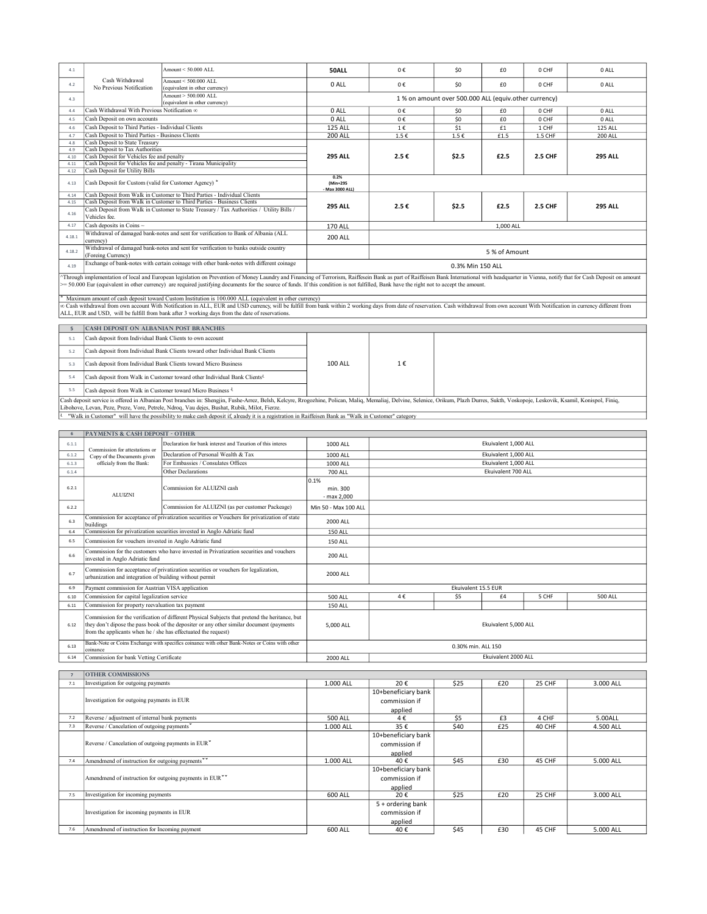| 4.1    |                                                                 | Amount < 50,000 ALL                                                                                                                                                                                                                                                                                                               | 50ALL                               | 0€        | SO <sub>2</sub>                                       | £0            | 0 CHF          | 0 ALL          |  |
|--------|-----------------------------------------------------------------|-----------------------------------------------------------------------------------------------------------------------------------------------------------------------------------------------------------------------------------------------------------------------------------------------------------------------------------|-------------------------------------|-----------|-------------------------------------------------------|---------------|----------------|----------------|--|
| 4.2    | Cash Withdrawal<br>No Previous Notification                     | Amount < 500,000 ALL<br>(equivalent in other currency)                                                                                                                                                                                                                                                                            | 0 ALL                               | 0€        | \$0                                                   | £0            | 0 CHF          | 0 ALL          |  |
| 4.3    |                                                                 | Amount > 500,000 ALL<br>(equivalent in other currency)                                                                                                                                                                                                                                                                            |                                     |           | 1 % on amount over 500.000 ALL (equiv.other currency) |               |                |                |  |
| 44     | Cash Withdrawal With Previous Notification of                   |                                                                                                                                                                                                                                                                                                                                   | $0$ ALL                             | $0 \in$   | \$0                                                   | £0            | 0 CHF          | 0 ALL          |  |
| 4.5    | Cash Deposit on own accounts                                    |                                                                                                                                                                                                                                                                                                                                   | $0$ ALL                             | $0 \in$   | \$0                                                   | £0            | 0 CHF          | 0 ALL          |  |
| 4.6    | Cash Deposit to Third Parties - Individual Clients              |                                                                                                                                                                                                                                                                                                                                   | <b>125 ALL</b>                      | 1€        | \$1                                                   | £1            | 1 CHF          | <b>125 ALL</b> |  |
| 4.7    | Cash Deposit to Third Parties - Business Clients                |                                                                                                                                                                                                                                                                                                                                   | <b>200 ALL</b>                      | $1.5 \in$ | $1.5 \in$                                             | £1.5          | <b>1.5 CHF</b> | <b>200 ALL</b> |  |
| 4.8    | <b>Cash Deposit to State Treasury</b>                           |                                                                                                                                                                                                                                                                                                                                   |                                     |           |                                                       |               |                |                |  |
| 4.9    | Cash Deposit to Tax Authorities                                 |                                                                                                                                                                                                                                                                                                                                   |                                     |           |                                                       |               |                | <b>295 ALL</b> |  |
| 4.10   | Cash Deposit for Vehicles fee and penalty                       |                                                                                                                                                                                                                                                                                                                                   | <b>295 ALL</b>                      | 2.5€      | \$2.5                                                 | £2.5          | <b>2.5 CHF</b> |                |  |
| 4.11   | Cash Deposit for Vehicles fee and penalty - Tirana Municipality |                                                                                                                                                                                                                                                                                                                                   |                                     |           |                                                       |               |                |                |  |
| 4.12   | Cash Deposit for Utility Bills                                  |                                                                                                                                                                                                                                                                                                                                   |                                     |           |                                                       |               |                |                |  |
| 4.13   | Cash Deposit for Custom (valid for Customer Agency) *           |                                                                                                                                                                                                                                                                                                                                   | 0.2%<br>(Min=295<br>- Max 3000 ALL) |           |                                                       |               |                |                |  |
| 4.14   |                                                                 | Cash Deposit from Walk in Customer to Third Parties - Individual Clients                                                                                                                                                                                                                                                          |                                     |           |                                                       |               |                |                |  |
| 4.15   |                                                                 | Cash Deposit from Walk in Customer to Third Parties - Business Clients                                                                                                                                                                                                                                                            |                                     |           | \$2.5                                                 | £2.5          | <b>2.5 CHF</b> | <b>295 ALL</b> |  |
| 4.16   |                                                                 | Cash Deposit from Walk in Customer to State Treasury / Tax Authorities / Utility Bills /                                                                                                                                                                                                                                          | <b>295 ALL</b>                      | 2.5€      |                                                       |               |                |                |  |
|        | Vehicles fee.                                                   |                                                                                                                                                                                                                                                                                                                                   |                                     |           |                                                       |               |                |                |  |
| 4.17   | Cash deposits in Coins $\sim$                                   |                                                                                                                                                                                                                                                                                                                                   | <b>170 ALL</b>                      | 1,000 ALL |                                                       |               |                |                |  |
| 4.18.1 | currency)                                                       | Withdrawal of damaged bank-notes and sent for verification to Bank of Albania (ALL                                                                                                                                                                                                                                                | <b>200 ALL</b>                      |           |                                                       |               |                |                |  |
| 4.18.2 | (Foreing Currency)                                              | Withdrawal of damaged bank-notes and sent for verification to banks outside country                                                                                                                                                                                                                                               |                                     |           |                                                       | 5 % of Amount |                |                |  |
| 4.19   |                                                                 | Exchange of bank-notes with certain coinage with other bank-notes with different coinage                                                                                                                                                                                                                                          |                                     |           | 0.3% Min 150 ALL                                      |               |                |                |  |
|        |                                                                 | Through implementation of local and European legislation on Prevention of Money Laundry and Financing of Terrorism, Raiffescin Bank as part of Raiffeisen Bank International with headquarter in Vienna, notify that for Cash                                                                                                     |                                     |           |                                                       |               |                |                |  |
|        |                                                                 | = 50.000 Eur (equivalent in other currency) are required justifying documents for the source of funds. If this condition is not fulfilled, Bank have the right not to accept the amount.                                                                                                                                          |                                     |           |                                                       |               |                |                |  |
|        |                                                                 | Maximum amount of cash deposit toward Custom Institution is 100.000 ALL (equivalent in other currency)                                                                                                                                                                                                                            |                                     |           |                                                       |               |                |                |  |
|        |                                                                 | oc Cash withdrawal from own account With Notification in ALL, EUR and USD currency, will be fulfill from bank within 2 working days from date of reservation. Cash withdrawal from own account With Notification in currency d<br>ALL, EUR and USD, will be fulfill from bank after 3 working days from the date of reservations. |                                     |           |                                                       |               |                |                |  |
|        |                                                                 |                                                                                                                                                                                                                                                                                                                                   |                                     |           |                                                       |               |                |                |  |
| 5      | CASH DEPOSIT ON ALBANIAN POST BRANCHES                          |                                                                                                                                                                                                                                                                                                                                   |                                     |           |                                                       |               |                |                |  |
| 5.1    | Cash deposit from Individual Bank Clients to own account        |                                                                                                                                                                                                                                                                                                                                   |                                     |           |                                                       |               |                |                |  |
| 5.2    |                                                                 | Cash deposit from Individual Bank Clients toward other Individual Bank Clients                                                                                                                                                                                                                                                    |                                     |           |                                                       |               |                |                |  |

5.2 Cash deposit from Individual Bank Clients toward other Individual Bank Clients 5.3 Cash deposit from Individual Bank Clients toward Micro Business 5.4 Cash deposit from Walk in Customer toward other Individual Bank Clients<sup>{{1}}</sup>

|  |  | 1€ |  |
|--|--|----|--|
|  |  |    |  |

5.5 Cash deposit from Walk in Customer toward Micro Business  $\frac{1}{2}$ 

Cash deposit service is offered in Albanian Post branches in: Shengin, Fushe-Arrez, Belsh, Keleyre, Rrogozhine, Polican, Maliq, Memaliaj, Delvine, Selenice, Orikum, Plazh Durres, Sukth, Voskopoje, Leskovik, Ksamil, Konispo

100 ALL

| 6              | PAYMENTS & CASH DEPOSIT - OTHER                                |                                                                                                                                                                                            |                      |                                                 |                     |                      |        |                |  |
|----------------|----------------------------------------------------------------|--------------------------------------------------------------------------------------------------------------------------------------------------------------------------------------------|----------------------|-------------------------------------------------|---------------------|----------------------|--------|----------------|--|
| 6.1.1          | Commission for attestations or                                 | Declaration for bank interest and Taxation of this interes                                                                                                                                 | 1000 ALL             | Ekuivalent 1,000 ALL                            |                     |                      |        |                |  |
| 6.1.2          | Copy of the Documents given                                    | Declaration of Personal Wealth & Tax                                                                                                                                                       | 1000 ALL             | Ekuivalent 1.000 ALL                            |                     |                      |        |                |  |
| 6.1.3          | officialy from the Bank:                                       | For Embassies / Consulates Offices                                                                                                                                                         | 1000 ALL             |                                                 |                     | Ekuivalent 1,000 ALL |        |                |  |
| 6.1.4          |                                                                | Other Declarations                                                                                                                                                                         | <b>700 ALL</b>       |                                                 |                     | Ekuivalent 700 ALL   |        |                |  |
| 6.2.1          |                                                                | Commission for ALUIZNI cash                                                                                                                                                                | 0.1%<br>min. 300     |                                                 |                     |                      |        |                |  |
|                | <b>ALUIZNI</b>                                                 |                                                                                                                                                                                            | - max 2,000          |                                                 |                     |                      |        |                |  |
| 6.2.2          |                                                                | Commission for ALUIZNI (as per customer Packeage)                                                                                                                                          | Min 50 - Max 100 ALL |                                                 |                     |                      |        |                |  |
| 6.3            | buildings                                                      | Commission for acceptance of privatization securities or Vouchers for privatization of state                                                                                               | <b>2000 ALL</b>      |                                                 |                     |                      |        |                |  |
| 6.4            |                                                                | Commission for privatization securities invested in Anglo Adriatic fund                                                                                                                    | <b>150 ALL</b>       |                                                 |                     |                      |        |                |  |
| 6.5            | Commission for vouchers invested in Anglo Adriatic fund        |                                                                                                                                                                                            | <b>150 ALL</b>       |                                                 |                     |                      |        |                |  |
| 6.6            | invested in Anglo Adriatic fund                                | Commission for the customers who have invested in Privatization securities and vouchers                                                                                                    | <b>200 ALL</b>       |                                                 |                     |                      |        |                |  |
| 6.7            | urbanization and integration of building without permit        | Commission for acceptance of privatization securities or vouchers for legalization,                                                                                                        | 2000 ALL             |                                                 |                     |                      |        |                |  |
| 6.9            | Payment commission for Austrian VISA application               |                                                                                                                                                                                            |                      |                                                 | Ekuivalent 15.5 EUR |                      |        |                |  |
| 6.10           | Commission for capital legalization service                    |                                                                                                                                                                                            | 500 ALL              | 4€                                              | \$5                 | £4                   | 5 CHF  | <b>500 ALL</b> |  |
| 6.11           | Commission for property reevaluation tax payment               |                                                                                                                                                                                            | <b>150 ALL</b>       |                                                 |                     |                      |        |                |  |
| 6.12           | from the applicants when he / she has effectuated the request) | Commission for the verification of different Physical Subjects that pretend the heritance, but<br>they don't dipose the pass book of the depositer or any other similar document (payments | 5,000 ALL            | Ekuivalent 5,000 ALL                            |                     |                      |        |                |  |
| 6.13           | coinance                                                       | Bank-Note or Coins Exchange with specifics coinance with other Bank-Notes or Coins with other                                                                                              |                      |                                                 | 0.30% min. ALL 150  |                      |        |                |  |
| 6.14           | Commission for bank Vetting Certificate                        |                                                                                                                                                                                            | 2000 ALL             |                                                 |                     | Ekuivalent 2000 ALL  |        |                |  |
|                |                                                                |                                                                                                                                                                                            |                      |                                                 |                     |                      |        |                |  |
| $\overline{7}$ | <b>OTHER COMMISSIONS</b>                                       |                                                                                                                                                                                            |                      |                                                 |                     |                      |        |                |  |
| 7.1            | Investigation for outgoing payments                            |                                                                                                                                                                                            | 1.000 ALL            | 20€                                             | \$25                | £20                  | 25 CHF | 3.000 ALL      |  |
|                | Investigation for outgoing payments in EUR                     |                                                                                                                                                                                            |                      | 10+beneficiary bank<br>commission if<br>applied |                     |                      |        |                |  |
| 7.2            | Reverse / adjustment of internal bank payments                 |                                                                                                                                                                                            | <b>500 ALL</b>       | 4€                                              | \$5                 | £3                   | 4 CHF  | 5.00ALL        |  |
| 7.3            | Reverse / Cancelation of outgoing payments                     |                                                                                                                                                                                            | 1.000 ALL            | 35€                                             | \$40                | £25                  | 40 CHF | 4.500 ALL      |  |
|                | Reverse / Cancelation of outgoing payments in EUR              |                                                                                                                                                                                            |                      | 10+beneficiary bank<br>commission if<br>applied |                     |                      |        |                |  |
| 7.4            | Amendmend of instruction for outgoing payments                 |                                                                                                                                                                                            | 1.000 ALL            | 40€                                             | \$45                | £30                  | 45 CHF | 5.000 ALL      |  |
|                | Amendmend of instruction for outgoing payments in EUR          |                                                                                                                                                                                            |                      | 10+beneficiary bank<br>commission if<br>applied |                     |                      |        |                |  |
| 7.5            | Investigation for incoming payments                            |                                                                                                                                                                                            | 600 ALL              | 20€                                             | \$25                | £20                  | 25 CHF | 3.000 ALL      |  |
|                | Investigation for incoming payments in EUR                     |                                                                                                                                                                                            |                      | 5 + ordering bank<br>commission if<br>applied   |                     |                      |        |                |  |
| 7.6            | Amendmend of instruction for Incoming payment                  |                                                                                                                                                                                            | 600 ALL              | 40€                                             | \$45                | £30                  | 45 CHF | 5.000 ALL      |  |